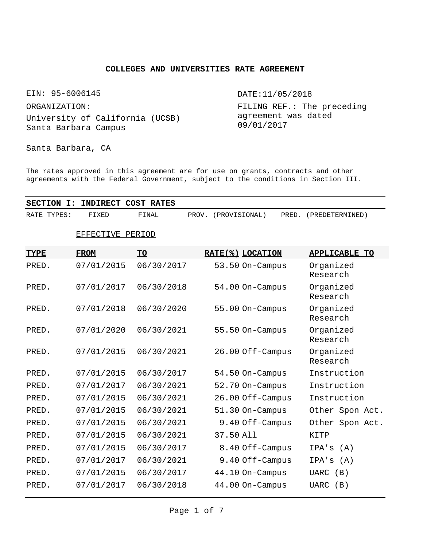# **COLLEGES AND UNIVERSITIES RATE AGREEMENT**

EIN: 95-6006145

ORGANIZATION:

University of California (UCSB) Santa Barbara Campus

DATE:11/05/2018

FILING REF.: The preceding agreement was dated 09/01/2017

Santa Barbara, CA

The rates approved in this agreement are for use on grants, contracts and other agreements with the Federal Government, subject to the conditions in Section III.

| <b>SECTION</b><br>I: | <b>INDIRECT</b>  | <b>COST RATES</b> |                     |                  |                       |
|----------------------|------------------|-------------------|---------------------|------------------|-----------------------|
| RATE TYPES:          | FIXED            | FINAL             | PROV. (PROVISIONAL) | PRED.            | (PREDETERMINED)       |
|                      | EFFECTIVE PERIOD |                   |                     |                  |                       |
| TYPE                 | <b>FROM</b>      | TO                |                     | RATE(%) LOCATION | <b>APPLICABLE TO</b>  |
| PRED.                | 07/01/2015       | 06/30/2017        |                     | 53.50 On-Campus  | Organized<br>Research |
| PRED.                | 07/01/2017       | 06/30/2018        |                     | 54.00 On-Campus  | Organized<br>Research |
| PRED.                | 07/01/2018       | 06/30/2020        |                     | 55.00 On-Campus  | Organized<br>Research |
| PRED.                | 07/01/2020       | 06/30/2021        |                     | 55.50 On-Campus  | Organized<br>Research |
| PRED.                | 07/01/2015       | 06/30/2021        |                     | 26.00 Off-Campus | Organized<br>Research |
| PRED.                | 07/01/2015       | 06/30/2017        |                     | 54.50 On-Campus  | Instruction           |
| PRED.                | 07/01/2017       | 06/30/2021        |                     | 52.70 On-Campus  | Instruction           |
| PRED.                | 07/01/2015       | 06/30/2021        |                     | 26.00 Off-Campus | Instruction           |
| PRED.                | 07/01/2015       | 06/30/2021        |                     | 51.30 On-Campus  | Other Spon Act.       |
| PRED.                | 07/01/2015       | 06/30/2021        |                     | 9.40 Off-Campus  | Other Spon Act.       |
| PRED.                | 07/01/2015       | 06/30/2021        | 37.50 All           |                  | KITP                  |
| PRED.                | 07/01/2015       | 06/30/2017        |                     | 8.40 Off-Campus  | (A)<br>IPA's          |
| PRED.                | 07/01/2017       | 06/30/2021        |                     | 9.40 Off-Campus  | IPA's<br>(A)          |
| PRED.                | 07/01/2015       | 06/30/2017        |                     | 44.10 On-Campus  | <b>UARC</b><br>(B)    |
| PRED.                | 07/01/2017       | 06/30/2018        |                     | 44.00 On-Campus  | <b>UARC</b><br>(B)    |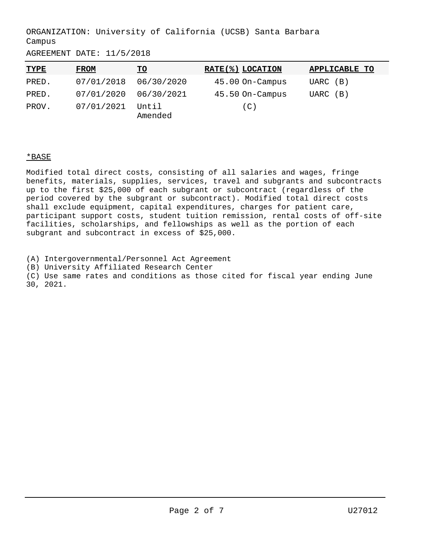AGREEMENT DATE: 11/5/2018

| <b>TYPE</b> | <b>FROM</b>           | <u>TO</u>        | RATE(%) LOCATION | APPLICABLE TO |
|-------------|-----------------------|------------------|------------------|---------------|
| PRED.       | 07/01/2018            | 06/30/2020       | 45.00 On-Campus  | UARC (B)      |
| PRED.       | 07/01/2020 06/30/2021 |                  | 45.50 On-Campus  | UARC (B)      |
| PROV.       | 07/01/2021            | Until<br>Amended | (C)              |               |

# \*BASE

Modified total direct costs, consisting of all salaries and wages, fringe benefits, materials, supplies, services, travel and subgrants and subcontracts up to the first \$25,000 of each subgrant or subcontract (regardless of the period covered by the subgrant or subcontract). Modified total direct costs shall exclude equipment, capital expenditures, charges for patient care, participant support costs, student tuition remission, rental costs of off-site facilities, scholarships, and fellowships as well as the portion of each subgrant and subcontract in excess of \$25,000.

(A) Intergovernmental/Personnel Act Agreement

(B) University Affiliated Research Center

(C) Use same rates and conditions as those cited for fiscal year ending June 30, 2021.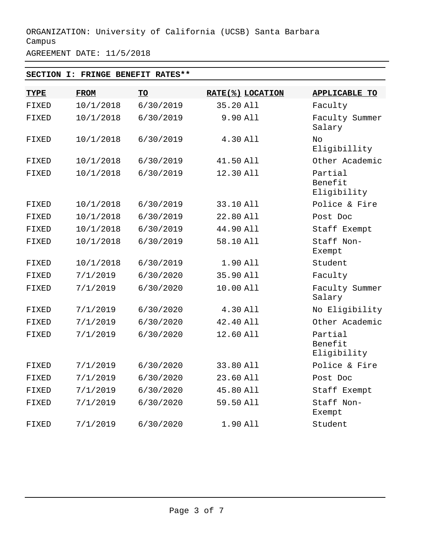AGREEMENT DATE: 11/5/2018

# **SECTION I: FRINGE BENEFIT RATES\*\***

| <b>TYPE</b> | <b>FROM</b> | <b>TO</b> | RATE(%) LOCATION | <b>APPLICABLE TO</b>              |
|-------------|-------------|-----------|------------------|-----------------------------------|
| FIXED       | 10/1/2018   | 6/30/2019 | 35.20 All        | Faculty                           |
| FIXED       | 10/1/2018   | 6/30/2019 | 9.90 All         | Faculty Summer<br>Salary          |
| FIXED       | 10/1/2018   | 6/30/2019 | 4.30 All         | No<br>Eligibillity                |
| FIXED       | 10/1/2018   | 6/30/2019 | 41.50 All        | Other Academic                    |
| FIXED       | 10/1/2018   | 6/30/2019 | 12.30 All        | Partial<br>Benefit<br>Eligibility |
| FIXED       | 10/1/2018   | 6/30/2019 | 33.10 All        | Police & Fire                     |
| FIXED       | 10/1/2018   | 6/30/2019 | 22.80 All        | Post Doc                          |
| FIXED       | 10/1/2018   | 6/30/2019 | 44.90 All        | Staff Exempt                      |
| FIXED       | 10/1/2018   | 6/30/2019 | 58.10 All        | Staff Non-<br>Exempt              |
| FIXED       | 10/1/2018   | 6/30/2019 | 1.90 All         | Student                           |
| FIXED       | 7/1/2019    | 6/30/2020 | 35.90 All        | Faculty                           |
| FIXED       | 7/1/2019    | 6/30/2020 | 10.00 All        | Faculty Summer<br>Salary          |
| FIXED       | 7/1/2019    | 6/30/2020 | 4.30 All         | No Eligibility                    |
| FIXED       | 7/1/2019    | 6/30/2020 | 42.40 All        | Other Academic                    |
| FIXED       | 7/1/2019    | 6/30/2020 | 12.60 All        | Partial<br>Benefit<br>Eligibility |
| FIXED       | 7/1/2019    | 6/30/2020 | 33.80 All        | Police & Fire                     |
| FIXED       | 7/1/2019    | 6/30/2020 | 23.60 All        | Post Doc                          |
| FIXED       | 7/1/2019    | 6/30/2020 | 45.80 All        | Staff Exempt                      |
| FIXED       | 7/1/2019    | 6/30/2020 | 59.50 All        | Staff Non-<br>Exempt              |
| FIXED       | 7/1/2019    | 6/30/2020 | 1.90 All         | Student                           |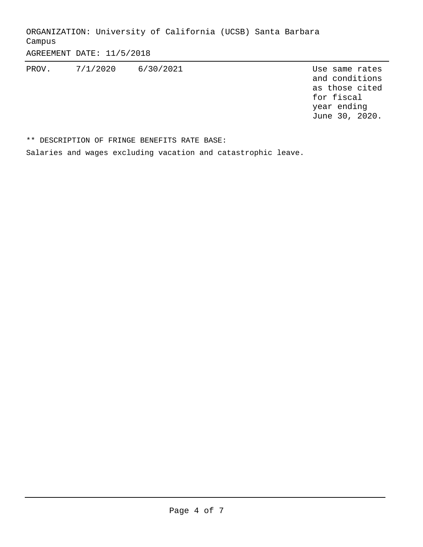AGREEMENT DATE: 11/5/2018

PROV. 7/1/2020 6/30/2021 Use same rates

and conditions as those cited for fiscal year ending June 30, 2020.

\*\* DESCRIPTION OF FRINGE BENEFITS RATE BASE:

Salaries and wages excluding vacation and catastrophic leave.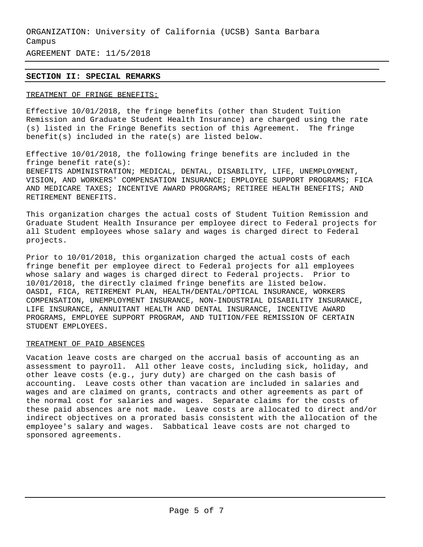AGREEMENT DATE: 11/5/2018

# **SECTION II: SPECIAL REMARKS**

### TREATMENT OF FRINGE BENEFITS:

Effective 10/01/2018, the fringe benefits (other than Student Tuition Remission and Graduate Student Health Insurance) are charged using the rate (s) listed in the Fringe Benefits section of this Agreement. The fringe benefit(s) included in the rate(s) are listed below.

Effective 10/01/2018, the following fringe benefits are included in the fringe benefit rate(s): BENEFITS ADMINISTRATION; MEDICAL, DENTAL, DISABILITY, LIFE, UNEMPLOYMENT, VISION, AND WORKERS' COMPENSATION INSURANCE; EMPLOYEE SUPPORT PROGRAMS; FICA AND MEDICARE TAXES; INCENTIVE AWARD PROGRAMS; RETIREE HEALTH BENEFITS; AND RETIREMENT BENEFITS.

This organization charges the actual costs of Student Tuition Remission and Graduate Student Health Insurance per employee direct to Federal projects for all Student employees whose salary and wages is charged direct to Federal projects.

Prior to 10/01/2018, this organization charged the actual costs of each fringe benefit per employee direct to Federal projects for all employees whose salary and wages is charged direct to Federal projects. Prior to 10/01/2018, the directly claimed fringe benefits are listed below. OASDI, FICA, RETIREMENT PLAN, HEALTH/DENTAL/OPTICAL INSURANCE, WORKERS COMPENSATION, UNEMPLOYMENT INSURANCE, NON-INDUSTRIAL DISABILITY INSURANCE, LIFE INSURANCE, ANNUITANT HEALTH AND DENTAL INSURANCE, INCENTIVE AWARD PROGRAMS, EMPLOYEE SUPPORT PROGRAM, AND TUITION/FEE REMISSION OF CERTAIN STUDENT EMPLOYEES.

### TREATMENT OF PAID ABSENCES

Vacation leave costs are charged on the accrual basis of accounting as an assessment to payroll. All other leave costs, including sick, holiday, and other leave costs (e.g., jury duty) are charged on the cash basis of accounting. Leave costs other than vacation are included in salaries and wages and are claimed on grants, contracts and other agreements as part of the normal cost for salaries and wages. Separate claims for the costs of these paid absences are not made. Leave costs are allocated to direct and/or indirect objectives on a prorated basis consistent with the allocation of the employee's salary and wages. Sabbatical leave costs are not charged to sponsored agreements.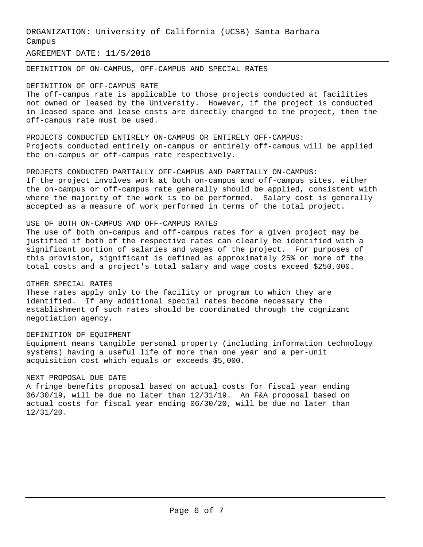AGREEMENT DATE: 11/5/2018

DEFINITION OF ON-CAMPUS, OFF-CAMPUS AND SPECIAL RATES

### DEFINITION OF OFF-CAMPUS RATE

The off-campus rate is applicable to those projects conducted at facilities not owned or leased by the University. However, if the project is conducted in leased space and lease costs are directly charged to the project, then the off-campus rate must be used.

PROJECTS CONDUCTED ENTIRELY ON-CAMPUS OR ENTIRELY OFF-CAMPUS: Projects conducted entirely on-campus or entirely off-campus will be applied the on-campus or off-campus rate respectively.

PROJECTS CONDUCTED PARTIALLY OFF-CAMPUS AND PARTIALLY ON-CAMPUS: If the project involves work at both on-campus and off-campus sites, either the on-campus or off-campus rate generally should be applied, consistent with where the majority of the work is to be performed. Salary cost is generally accepted as a measure of work performed in terms of the total project.

# USE OF BOTH ON-CAMPUS AND OFF-CAMPUS RATES

The use of both on-campus and off-campus rates for a given project may be justified if both of the respective rates can clearly be identified with a significant portion of salaries and wages of the project. For purposes of this provision, significant is defined as approximately 25% or more of the total costs and a project's total salary and wage costs exceed \$250,000.

# OTHER SPECIAL RATES

These rates apply only to the facility or program to which they are identified. If any additional special rates become necessary the establishment of such rates should be coordinated through the cognizant negotiation agency.

### DEFINITION OF EQUIPMENT

Equipment means tangible personal property (including information technology systems) having a useful life of more than one year and a per-unit acquisition cost which equals or exceeds \$5,000.

# NEXT PROPOSAL DUE DATE

A fringe benefits proposal based on actual costs for fiscal year ending 06/30/19, will be due no later than 12/31/19. An F&A proposal based on actual costs for fiscal year ending 06/30/20, will be due no later than 12/31/20.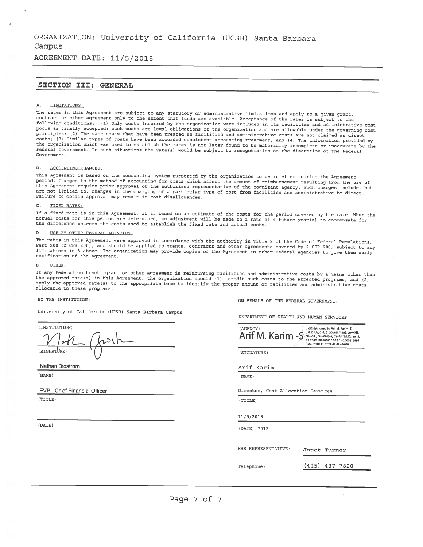AGREEMENT DATE: 11/5/2018

### SECTION III: GENERAL

### A. LIMITATIONS:

The rates in this Agreement are subject to any statutory or administrative limitations and apply to a given grant, contract or other agreement only to the extent that funde are available. Acceptance of the ratee is eubject to the following conditions: (1) Only costs incurred by the organization were included in its facilities and administrative cost pools as finally accepted: such costs are legal obligations of the organization and are allowable under the governing cost principles; (2) The same costs that have been treated as facilities and administrative costs are not claimed as direct costs; (3) Similar types of costs have been accorded consistent accounting treatment; and (4) The information provided by the organization which was used to establish the rates is not later found to be materially incomplete or inaccurate by the Federal Government. In such situations the rate(s) would be subject to renegotiation at the discretion of the Federal Government

### B. ACCOUNTING CHANGES:

This Agreement is based on the accounting system purported by the organization to be in effect during the Agreement period. Changes to the method of accounting for costs which affect the amount of reimbursement resulting from the use of this Agreement require prior approval of the authorized representative of the cognizant agency. Such changes include, but are not limited to, changes in the charging of <sup>a</sup> particular type of cost from facilities and administrative to direct. Failure to obtain approval may result in cost disallowances.

### C. FIXED RATES:

If a fixed rate is in this Agreement, it is based on an estimate of the costs for the period covered by the rate. When the actual costs for this period are determined, an adjustment will be made to <sup>a</sup> rate of <sup>a</sup> future year(s) to compensate for the difference between the costs used to establish the fixed rate and actual costs.

### D. USE BY OTHER FEDERAL AGENCIES:

The rates in this Agreement were approved in accordance with the authority in Title <sup>2</sup> of the Code of Federal Regulations, Part 200 (2 CFR 200), and should be applied to grants, contracts and other agreements covered by 2 CFR 200, subject to any limitations in A above. The organization may provide copies of the Agreement to other Federal Agencies to give them early notification of the Agreement.

### E. OTHER:

If any Federal contract, grant or other agreement is reimbursing facilities and administrative costs by a means other than<br>the approved rate(s) in this Agreement, the organization should (1) credit such costs to the affect apply the approved rate(s) to the appropriate base to identify the proper amount of facilities and administrative costs allocable to these programs.

### BY THE INSTITUTION:

University of California (UCSB) Santa Barbara Campus

(INSTITUTION)  $\overline{a}$  (1)  $\overline{b}$  (1)  $\overline{b}$  (1)  $\overline{b}$  (1)  $\overline{b}$  (1)  $\overline{b}$  (1)  $\overline{b}$  (1)  $\overline{b}$  (1)  $\overline{b}$  (1)  $\overline{b}$  (1)  $\overline{b}$  (1)  $\overline{b}$  (1)  $\overline{b}$  (1)  $\overline{b}$  (1)  $\overline{b}$  (1)  $\overline{b}$  (1)  $\overline{b}$  (1) ) S IGNATURE)

Nathan Brostrom

(NAME)

EVP -Chief Financial Officer

(TITLE)

(DATE)

ON BEHALF OF THE FEDERAL GOVERNMENT:

DEPARTMENT OF HEALTN AND HUMAN SERVICES

| (AGENCY)<br>Arif M. Karim -S | Digitally signed by Arif M. Karlm -S<br>DN: c=US, o=U.S. Government, ou=HHS,<br>ou=PSC, ou=People, cn=Arif M. Karim -S<br>0.9.2342.19200300.100.1.1=2000212895<br>Date: 2018.11.07 21:49:49 -06'00' |
|------------------------------|-----------------------------------------------------------------------------------------------------------------------------------------------------------------------------------------------------|
| (SIGNATURE)                  |                                                                                                                                                                                                     |

Arif Karim

(NAME)

Director, Cost Allocation Services

(TITLE)

11/5/2018

(DATE) 7012

NNS REPRESENTATIVE: Janet Turner

Telephone: (415) 437-7820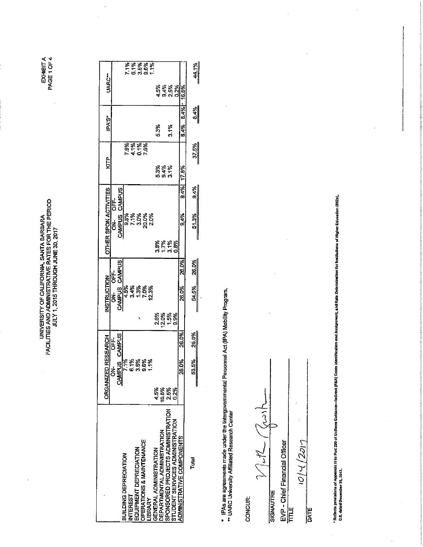EXHIBITA<br>PAGE 1 OF 4

i,

 $\frac{1}{2}$ 

UNIVERSITY OF CALIFORNIA, SANTA BARBARA<br>FACILITIES AND ADMINISTRATIVE RATES FOR THE PERIOD<br>JULY 1, 2015 THROUGH JUNE 30, 2017

|                              | <b>UARC</b> |        |                          |                              |                 |                        | 7.1%<br>5.1%<br>5.5%<br>1.1%              |               |                        |                                    |                                   |                                     |                           | 44.1%      |
|------------------------------|-------------|--------|--------------------------|------------------------------|-----------------|------------------------|-------------------------------------------|---------------|------------------------|------------------------------------|-----------------------------------|-------------------------------------|---------------------------|------------|
|                              |             |        |                          |                              |                 |                        |                                           |               |                        |                                    |                                   | ន្ត្រូន្ត្ត<br>តុងពីស្តី<br>។ ពីសីល |                           |            |
|                              |             |        |                          |                              |                 |                        |                                           |               |                        |                                    |                                   |                                     | 8.4% 8.4% 16.6%           | 8.4%       |
|                              | iPA'S*      |        |                          |                              |                 |                        |                                           |               | 5.3%                   |                                    | 3.1%                              |                                     |                           |            |
|                              |             |        |                          |                              |                 |                        | 234782<br>212582<br>22582                 |               |                        |                                    |                                   |                                     |                           | 37.5%      |
|                              | КTР         |        |                          |                              |                 |                        |                                           |               |                        |                                    | ಕ್ಷೆ ತಿಳಿ<br>ದ ಕ್ಷೆ ಕ್ಷ<br>ರ ದ ದ  |                                     |                           |            |
|                              |             |        |                          |                              |                 |                        |                                           |               |                        |                                    |                                   |                                     | 9.4% 17.8%                | 9.4%       |
| <b>OTHER SPON ACTIVITIES</b> |             | 齿      | CAMPUS CAMPUS            |                              |                 |                        | និន្ទីនិន្ទី<br>តំពូទីទីទី<br>តំពូទីត្រ   |               |                        |                                    |                                   |                                     | 9.4%                      |            |
|                              |             | .<br>중 |                          |                              |                 |                        |                                           |               |                        |                                    |                                   |                                     |                           | 51.3%      |
|                              |             |        |                          |                              |                 |                        |                                           |               |                        |                                    |                                   | 8<br>8558<br>8558                   |                           |            |
|                              |             |        |                          |                              |                 |                        |                                           |               |                        |                                    |                                   |                                     | 26.0%                     | 26.0%      |
| <b>INSTRUCTION</b>           |             |        | ON-OFF-<br>CAMPUS CAMPUS |                              |                 |                        | <b>222222</b><br>0332022<br> 4 01 - 1- 01 |               |                        |                                    |                                   |                                     | 26.0%                     | 54.5%      |
|                              |             |        |                          |                              |                 |                        |                                           |               |                        | 2.6%<br>2.0%                       |                                   | 1.5%<br>9.9%                        |                           |            |
|                              |             |        |                          |                              |                 |                        |                                           |               |                        |                                    |                                   |                                     |                           |            |
| <b>RESEARCH</b>              |             | ե<br>5 |                          |                              |                 |                        |                                           |               |                        |                                    |                                   |                                     | 26.0%                     | 26.0%      |
|                              |             | á      | CAMPUS CAMPUS            |                              |                 |                        | <b>88888</b><br>758887<br>76887           |               |                        |                                    |                                   |                                     | క్తి<br>g                 | តុំ        |
| <b>ORGANIZED</b>             |             |        |                          |                              |                 |                        |                                           |               | 45%                    | 18.8%                              | <b>2.5%</b>                       | 0.2%                                |                           | 3<br> <br> |
|                              |             |        |                          |                              |                 |                        |                                           |               |                        |                                    |                                   |                                     |                           |            |
|                              |             |        |                          |                              |                 |                        |                                           |               |                        |                                    |                                   |                                     |                           |            |
|                              |             |        |                          |                              |                 |                        |                                           |               |                        |                                    |                                   |                                     |                           |            |
|                              |             |        |                          |                              |                 |                        |                                           |               |                        |                                    |                                   |                                     |                           | Total<br>P |
|                              |             |        |                          |                              |                 |                        |                                           |               |                        |                                    |                                   |                                     |                           |            |
|                              |             |        |                          | <b>BUILDING DEPRECIATION</b> | <b>INTEREST</b> | EQUIPMENT DEPRECIATION | OPERATIONS & MAINTENANCE                  | <b>JBRARY</b> | GENERAL ADMINISTRATION | <b>DEPARTMENTAL ADMINISTRATION</b> | SPONSORED PROJECTS ADMINISTRATION | STUDENT SERVICES ADMINISTRATION     | ADMINISTRATIVE COMPONENTS |            |
|                              |             |        |                          |                              |                 |                        |                                           |               |                        |                                    |                                   |                                     |                           |            |

\* IPAs are agreements made under the Intergovernmental Personnel Act (IPA) Mobility Program.<br>\*\* UARC University Affiliated Research Center

**CONCUR:** 

 $\frac{1}{2}$  $2\sqrt{2\pi}$ SIGNAUTRE

EVP - Chief Financial Officer<br>TITLE

l,  $1014/2017$ 

DATE

 $\hat{\boldsymbol{\gamma}}$ 

' Refects providions of Appendix III to Part 200 of Uniform Cultions—Indined (F&A) Costs identification, and Astate Determination for Institutions of Higher Education (HES),<br>C.S. dated December 24, 2013.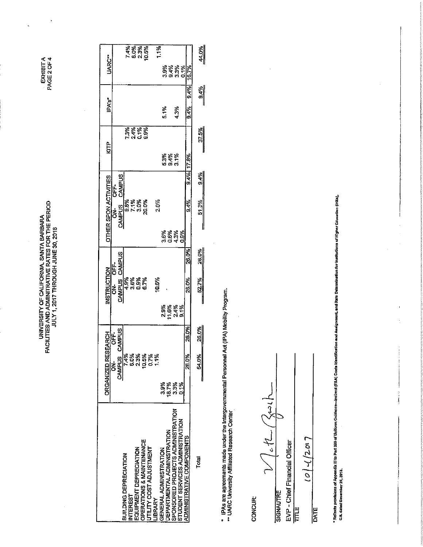EXHIBITA<br>PAGE 2 OF 4

 $\ddot{\phantom{1}}$ 

 $\ddot{\phantom{a}}$ 

# UNIVERSITY OF CALIFORNIA, SANTA BARBARA<br>FACILITIES AND ADMINITRATIVE RATES FOR THE PERIOD<br>JULY 1, 2017 THROUGH JUNE 30, 2018

| <b>UARC**</b>                |                                     |                                          | 74%<br>63%<br>76%<br>74%     |                                                     | 1%            |                        |                                    |                                                                      |      |                                  | 44.0%                 |
|------------------------------|-------------------------------------|------------------------------------------|------------------------------|-----------------------------------------------------|---------------|------------------------|------------------------------------|----------------------------------------------------------------------|------|----------------------------------|-----------------------|
|                              |                                     |                                          |                              |                                                     |               |                        |                                    | 8 8 8 8<br>6 <del>9</del> 6<br>6 9 6 6                               |      | 16.7%                            |                       |
| IPA's"                       |                                     |                                          |                              |                                                     |               | 5.1%                   |                                    | 4.3%                                                                 |      | 9.4%<br>9.4%                     | $\frac{9.4\%}{2.4\%}$ |
|                              |                                     |                                          | 7.3%<br>2.4%<br>2.1%<br>2.9% |                                                     |               |                        |                                    |                                                                      |      |                                  |                       |
| ЮP                           |                                     |                                          |                              |                                                     |               |                        |                                    |                                                                      |      |                                  | 37.5%                 |
|                              |                                     |                                          |                              |                                                     |               |                        | 8<br>83<br>93<br>93<br>93          |                                                                      |      | 9.4% 17.8%                       |                       |
|                              | CAMPUS<br>ÓFF.                      |                                          |                              |                                                     |               |                        |                                    |                                                                      |      |                                  | 9.4%                  |
| <b>OTHER SPON ACTIVITIES</b> | <b>CAMPUS</b><br>.<br>중             |                                          | 8%<br>8,1%<br>9,1%<br>9,1%   |                                                     | 2.0%          |                        |                                    |                                                                      |      | 9.4%                             | 51.3%                 |
|                              |                                     |                                          |                              |                                                     |               |                        |                                    | ន្តន្តន្តន្ត<br>ធ្វូចិត្តគ្និ<br>ត្តប់                               |      |                                  |                       |
|                              |                                     |                                          |                              |                                                     |               |                        |                                    |                                                                      |      | 26.0%                            | 26.0%                 |
| INSTRUCTION                  | <b>ON-OFF-</b><br>CAMPUS CAMPUS     |                                          | <b>8888</b><br>5658<br>4000  |                                                     | 10.6%         |                        |                                    |                                                                      |      | 26.0%                            | 52.7%                 |
|                              |                                     |                                          |                              |                                                     |               |                        |                                    | 8<br>8 8 8 8 8<br>지 그 이 약                                            |      |                                  |                       |
| <b>EARCH</b>                 | CAMPUS<br><b>OFF-</b>               |                                          |                              |                                                     |               |                        |                                    |                                                                      |      | 26.0%                            | 26.0%                 |
|                              | <b>CAMPUS</b><br>$\frac{1}{\sigma}$ | 7.4%                                     | 6.0%                         | ន្ត្រី <b>ន្ត្រី</b><br>សង្គុន្ត្                   |               |                        |                                    |                                                                      |      | 26.0%                            | <b>54.0%</b>          |
| <b>ORGANIZED RES</b>         |                                     |                                          |                              |                                                     |               | 3.9%                   | 18.7%                              | 3%                                                                   | 0.1% |                                  |                       |
|                              |                                     |                                          |                              |                                                     |               |                        |                                    |                                                                      |      |                                  |                       |
|                              |                                     |                                          |                              |                                                     |               |                        |                                    | SPONSORED PROJECTS ADMINISTRATION<br>STUDENT SERVICES ADMINISTRATION |      |                                  | Total                 |
|                              |                                     | BUILDING DEPRECIATION<br><b>INTEREST</b> | EQUIPMENT DEPRECIATION       | OPERATIONS & MAINTENANCE<br>UTILITY COST ADJUSTMENT | <b>JBRARY</b> | GENERAL ADMINISTRATION | <b>DEPARTMENTAL ADMINISTRATION</b> |                                                                      |      | <b>ADMINISTRATIVE COMPONENTS</b> |                       |

\* IPAs are agreements made under the Intergovernmental Personnel Act (IPA) Mobility Program.<br>\*\* UARC University Affiliated Research Center

**CONCUR** 

Jett Bach  $\tilde{C}$ **SIGNAUTRE** 

EVP - Chief Financial Officer

TITLE

 $107/701$ 

DATE

\* Refacts providuos of Appendix II to Pad 220 of Uniform Guidance—Indicate) (Cada Idanii);cado Assignment, and Rate Datermination for Instantion of Higher Education (IFEA),<br>C.S. dated Oceanber 28, 2113.

 $\bar{1}$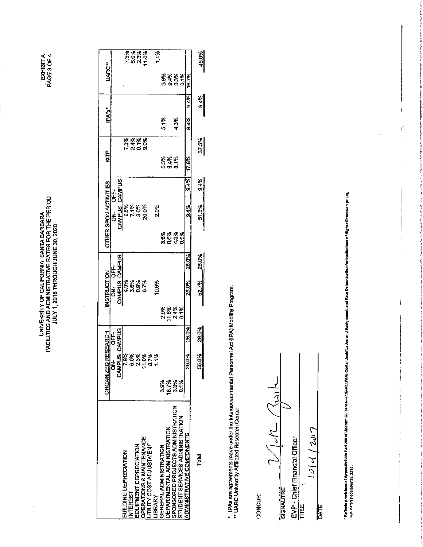EXHIBITA<br>PAGE 3 OF 4

# UNIVERSITY OF CALIFORNIA, SANTA BARBARA<br>FACILITIES AND ADMINISTRATIVE RATES FOR THE PERIOD<br>JULY 1, 2018 THROUGH JUNE 30, 2020

 $\frac{1}{2}$ 

|                                   | ORGANIZED RE              | <b>HOKENS:</b>                  |       | NSTRUCTION                |        |                                | <b>DTHER SPON ACTIVITIES</b>                    | 모<br>보기                     | IPA's             |                       | UARC <sup>+</sup> |                               |
|-----------------------------------|---------------------------|---------------------------------|-------|---------------------------|--------|--------------------------------|-------------------------------------------------|-----------------------------|-------------------|-----------------------|-------------------|-------------------------------|
|                                   | <b>CAMPUS</b><br>टें<br>ठ | CAMPUS<br>.<br>6                |       | CAMPUS CAMPUS<br>ร่<br>อี | 냐<br>5 | รื่                            | 止<br>5                                          |                             |                   |                       |                   |                               |
|                                   |                           |                                 |       |                           |        |                                | <b>CAMPUS CAMPUS</b>                            |                             |                   |                       |                   |                               |
| BUILDING DEPRECIATION             |                           | <b>S65'L</b>                    |       |                           |        |                                |                                                 |                             |                   |                       |                   |                               |
| <b>NTEREST</b>                    |                           |                                 |       |                           |        |                                |                                                 |                             |                   |                       |                   |                               |
| <b>EQUIPMENT DEPRECIATION</b>     |                           |                                 |       | <b>8888</b><br>66682      |        |                                | ន្ត្រី ភូមិ<br>ត្តី ភូមិ ភូមិ<br>ត្តី ភូមិ ត្តី | គ្គីខ្ពុំខ្ពុំ<br>ក្តីកំពុង |                   |                       |                   | 요<br>요즘 있습<br><u>요</u> 즘 있습니다 |
| OPERATIONS & MAINTENANCE          |                           |                                 |       |                           |        |                                |                                                 |                             |                   |                       |                   |                               |
| UTILITY COST ADJUSTMENT           |                           | 음유왕동동<br>이 이 그 그 그<br>이 이 그 그 그 |       |                           |        |                                |                                                 |                             |                   |                       |                   |                               |
| <b>IBRARY</b>                     |                           |                                 |       | 10.6%                     |        |                                | 2.0%                                            |                             |                   |                       |                   | 1.1%                          |
| GENERAL ADMINISTRATION            | ្ត<br>ភូ                  |                                 |       |                           |        |                                |                                                 |                             | $\frac{3}{2}$ .1% |                       |                   |                               |
| DEPARTMENTAL ADMINISTRATION       | 18.7%                     |                                 |       | ****<br>884<br>20         |        | និន្តី<br>ទីភ្នំក្តី<br>កំបាំង |                                                 | ಹಿತ್ಯ<br>ದಿತ್ಯ<br>ದಿತ್ಯ     |                   |                       |                   |                               |
| SPONSORED PROJECTS ADMINISTRATION | 3.3%                      |                                 |       |                           |        |                                |                                                 |                             | 4.3%              |                       |                   |                               |
| STUDENT SERVICES ADMINISTRATION   | ្មី<br>ច                  |                                 |       |                           |        |                                |                                                 |                             |                   |                       | 8<br>8388<br>0900 |                               |
| <b>ADMINISTRATIVE COMPONENTS</b>  |                           | 26.0%                           | 26.OX | 26.0%                     | 26.0%  |                                | 9.4%<br>$9.4\frac{6}{4}$                        | 17.8%                       | <b>9.4%</b>       | 9.4%                  | 16.7%             |                               |
| Total                             |                           | 55.0%                           | 26.0% | 52.7%                     | 26.0%  | l                              | $\frac{3.4\%}{2.4\%}$<br>ទី<br>ភ                | 37.5%                       |                   | $\frac{9.4\%}{2.4\%}$ | 45.0%             |                               |

\* IPAs are agreements made under the Intergovernmental Personnel Act (IPA) Mobility Program.<br>\*\* UARC University Affiliated Research Center

CONCUR:

 $\frac{1}{2}$  $|M|$ EVP - Chief Financial Officer<br>TITLE  $\overline{\mathcal{C}}$ SIGNAUTRE

 $10|4$  (2017 k. DATE

- Reflects providions of Appendix III to Part 200 of Uniform Guidance—Indivers (FAA) Costs Light And Assignment, and Rate Determination for Institution (Higher Equation (Higher),<br>C.A. dated December 26, 2013.

 $\mathbf{r}$